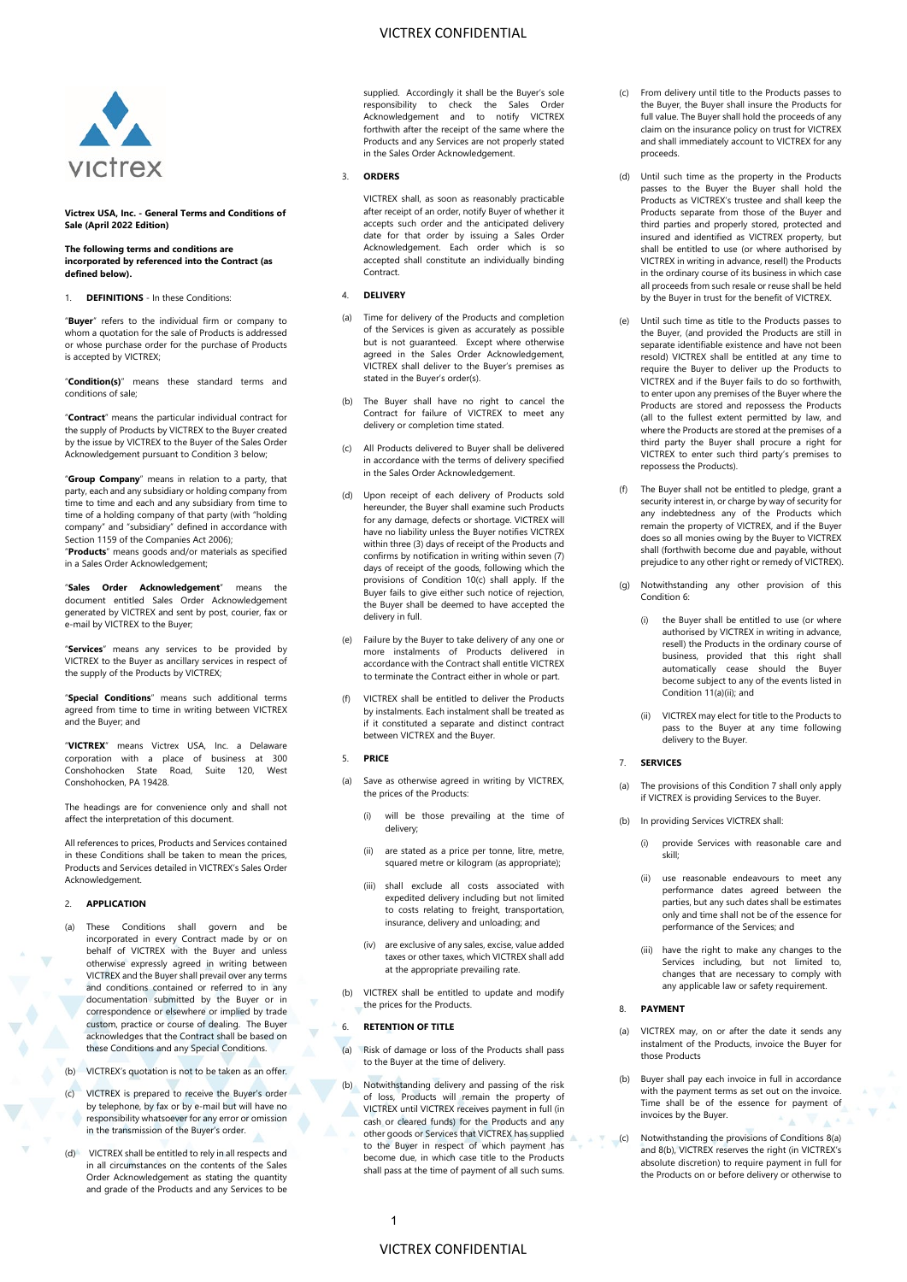# VICTREX CONFIDENTIAL



**Victrex USA, Inc. - General Terms and Conditions of Sale (April 2022 Edition)** 

#### **The following terms and conditions are incorporated by referenced into the Contract (as**

**defined below).**

1. **DEFINITIONS** - In these Conditions:

"**Buyer**" refers to the individual firm or company to whom a quotation for the sale of Products is addressed or whose purchase order for the purchase of Products is accepted by VICTREX;

"**Condition(s)**" means these standard terms and conditions of sale;

"**Contract**" means the particular individual contract for the supply of Products by VICTREX to the Buyer created by the issue by VICTREX to the Buyer of the Sales Order Acknowledgement pursuant to Condition 3 below;

"**Group Company**" means in relation to a party, that party, each and any subsidiary or holding company from time to time and each and any subsidiary from time to time of a holding company of that party (with "holding company" and "subsidiary" defined in accordance with Section 1159 of the Companies Act 2006);

"**Products**" means goods and/or materials as specified in a Sales Order Acknowledgement;

"**Sales Order Acknowledgement**" means the document entitled Sales Order Acknowledgement generated by VICTREX and sent by post, courier, fax or e-mail by VICTREX to the Buyer;

"**Services**" means any services to be provided by VICTREX to the Buyer as ancillary services in respect of the supply of the Products by VICTREX;

"**Special Conditions**" means such additional terms agreed from time to time in writing between VICTREX and the Buyer; and

"**VICTREX**" means Victrex USA, Inc. a Delaware corporation with a place of business at 300 Conshohocken State Road, Suite 120, West Conshohocken, PA 19428.

The headings are for convenience only and shall not affect the interpretation of this document.

All references to prices, Products and Services contained in these Conditions shall be taken to mean the prices, Products and Services detailed in VICTREX's Sales Order Acknowledgement.

### 2. **APPLICATION**

- (a) These Conditions shall govern and be incorporated in every Contract made by or on behalf of VICTREX with the Buyer and unless otherwise expressly agreed in writing between VICTREX and the Buyer shall prevail over any terms and conditions contained or referred to in any documentation submitted by the Buyer or in correspondence or elsewhere or implied by trade custom, practice or course of dealing. The Buyer acknowledges that the Contract shall be based on these Conditions and any Special Conditions.
- (b) VICTREX's quotation is not to be taken as an offer.
- (c) VICTREX is prepared to receive the Buyer's order by telephone, by fax or by e-mail but will have no responsibility whatsoever for any error or omission in the transmission of the Buyer's order.
- VICTREX shall be entitled to rely in all respects and in all circumstances on the contents of the Sales Order Acknowledgement as stating the quantity and grade of the Products and any Services to be

supplied. Accordingly it shall be the Buyer's sole responsibility to check the Sales Order Acknowledgement and to notify VICTREX forthwith after the receipt of the same where the Products and any Services are not properly stated in the Sales Order Acknowledgement.

### 3. **ORDERS**

VICTREX shall, as soon as reasonably practicable after receipt of an order, notify Buyer of whether it accepts such order and the anticipated delivery date for that order by issuing a Sales Order Acknowledgement. Each order which is so accepted shall constitute an individually binding Contract.

# 4. **DELIVERY**

- (a) Time for delivery of the Products and completion of the Services is given as accurately as possible but is not guaranteed. Except where otherwise agreed in the Sales Order Acknowledgement, VICTREX shall deliver to the Buyer's premises as stated in the Buyer's order(s).
- (b) The Buyer shall have no right to cancel the Contract for failure of VICTREX to meet any delivery or completion time stated.
- (c) All Products delivered to Buyer shall be delivered in accordance with the terms of delivery specified in the Sales Order Acknowledgement.
- <span id="page-0-4"></span>(d) Upon receipt of each delivery of Products sold hereunder, the Buyer shall examine such Products for any damage, defects or shortage. VICTREX will have no liability unless the Buyer notifies VICTREX within three (3) days of receipt of the Products and confirms by notification in writing within seven (7) days of receipt of the goods, following which the provisions of Condition [10\(c\)](#page-1-0) shall apply. If the Buyer fails to give either such notice of rejection, the Buyer shall be deemed to have accepted the delivery in full.
- (e) Failure by the Buyer to take delivery of any one or more instalments of Products delivered in accordance with the Contract shall entitle VICTREX to terminate the Contract either in whole or part.
- (f) VICTREX shall be entitled to deliver the Products by instalments. Each instalment shall be treated as if it constituted a separate and distinct contract between VICTREX and the Buyer.

# 5. **PRICE**

- Save as otherwise agreed in writing by VICTREX, the prices of the Products:
	- (i) will be those prevailing at the time of delivery;
	- (ii) are stated as a price per tonne, litre, metre, squared metre or kilogram (as appropriate);
	- (iii) shall exclude all costs associated with expedited delivery including but not limited to costs relating to freight, transportation, insurance, delivery and unloading; and
	- (iv) are exclusive of any sales, excise, value added taxes or other taxes, which VICTREX shall add at the appropriate prevailing rate.
- (b) VICTREX shall be entitled to update and modify the prices for the Products.

### <span id="page-0-0"></span>6. **RETENTION OF TITLE**

- (a) Risk of damage or loss of the Products shall pass to the Buyer at the time of delivery.
- (b) Notwithstanding delivery and passing of the risk of loss, Products will remain the property of VICTREX until VICTREX receives payment in full (in cash or cleared funds) for the Products and any other goods or Services that VICTREX has supplied to the Buyer in respect of which payment has become due, in which case title to the Products shall pass at the time of payment of all such sums.
- (c) From delivery until title to the Products passes to the Buyer, the Buyer shall insure the Products for full value. The Buyer shall hold the proceeds of any claim on the insurance policy on trust for VICTREX and shall immediately account to VICTREX for any proceeds.
- (d) Until such time as the property in the Products passes to the Buyer the Buyer shall hold the Products as VICTREX's trustee and shall keep the Products separate from those of the Buyer and third parties and properly stored, protected and insured and identified as VICTREX property, but shall be entitled to use (or where authorised by VICTREX in writing in advance, resell) the Products in the ordinary course of its business in which case all proceeds from such resale or reuse shall be held by the Buyer in trust for the benefit of VICTREX.
- (e) Until such time as title to the Products passes to the Buyer, (and provided the Products are still in separate identifiable existence and have not been resold) VICTREX shall be entitled at any time to require the Buyer to deliver up the Products to VICTREX and if the Buyer fails to do so forthwith, to enter upon any premises of the Buyer where the Products are stored and repossess the Products (all to the fullest extent permitted by law, and where the Products are stored at the premises of a third party the Buyer shall procure a right for VICTREX to enter such third party's premises to repossess the Products).
- (f) The Buyer shall not be entitled to pledge, grant a security interest in, or charge by way of security for any indebtedness any of the Products which remain the property of VICTREX, and if the Buyer does so all monies owing by the Buyer to VICTREX shall (forthwith become due and payable, without prejudice to any other right or remedy of VICTREX).
- Notwithstanding any other provision of this Conditio[n 6:](#page-0-0) 
	- (i) the Buyer shall be entitled to use (or where authorised by VICTREX in writing in advance, resell) the Products in the ordinary course of business, provided that this right shall automatically cease should the Buyer become subject to any of the events listed in Conditio[n 11\(a\)\(ii\);](#page-2-0) and
	- (ii) VICTREX may elect for title to the Products to pass to the Buyer at any time following delivery to the Buyer.

### <span id="page-0-1"></span>7. **SERVICES**

- The provisions of this Conditio[n 7](#page-0-1) shall only apply if VICTREX is providing Services to the Buyer.
- (b) In providing Services VICTREX shall:
	- (i) provide Services with reasonable care and skill;
	- (ii) use reasonable endeavours to meet any performance dates agreed between the parties, but any such dates shall be estimates only and time shall not be of the essence for performance of the Services; and
	- (iii) have the right to make any changes to the Services including, but not limited to, changes that are necessary to comply with any applicable law or safety requirement.

# 8. **PAYMENT**

- <span id="page-0-2"></span>(a) VICTREX may, on or after the date it sends any instalment of the Products, invoice the Buyer for those Products
- <span id="page-0-3"></span>(b) Buyer shall pay each invoice in full in accordance with the payment terms as set out on the invoice. Time shall be of the essence for payment of invoices by the Buyer.
- (c) Notwithstanding the provisions of Conditions [8\(a\)](#page-0-2) an[d 8\(b\),](#page-0-3) VICTREX reserves the right (in VICTREX's absolute discretion) to require payment in full for the Products on or before delivery or otherwise to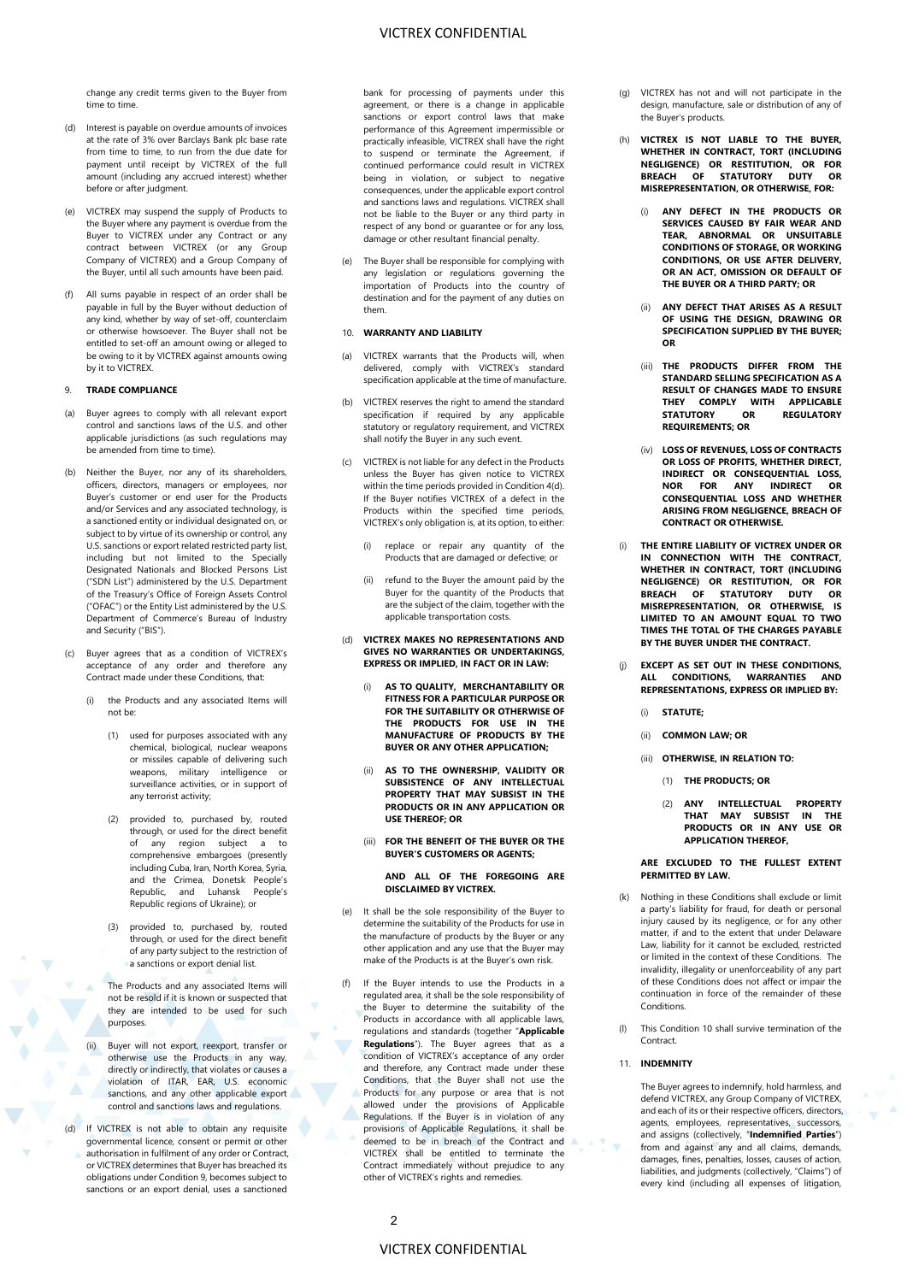change any credit terms given to the Buyer from time to time.

- (d) Interest is payable on overdue amounts of invoices at the rate of 3% over Barclays Bank plc base rate from time to time, to run from the due date for payment until receipt by VICTREX of the full amount (including any accrued interest) whether before or after judgment.
- (e) VICTREX may suspend the supply of Products to the Buyer where any payment is overdue from the Buyer to VICTREX under any Contract or any contract between VICTREX (or any Group Company of VICTREX) and a Group Company of the Buyer, until all such amounts have been paid.
- All sums payable in respect of an order shall be payable in full by the Buyer without deduction of any kind, whether by way of set-off, counterclaim or otherwise howsoever. The Buyer shall not be entitled to set-off an amount owing or alleged to be owing to it by VICTREX against amounts owing by it to VICTREX.

# 9. **TRADE COMPLIANCE**

- Buyer agrees to comply with all relevant export control and sanctions laws of the U.S. and other applicable jurisdictions (as such regulations may be amended from time to time).
- (b) Neither the Buyer, nor any of its shareholders, officers, directors, managers or employees, nor Buyer's customer or end user for the Products and/or Services and any associated technology, is a sanctioned entity or individual designated on, or subject to by virtue of its ownership or control, any U.S. sanctions or export related restricted party list, including but not limited to the Specially Designated Nationals and Blocked Persons List ("SDN List") administered by the U.S. Department of the Treasury's Office of Foreign Assets Control ("OFAC") or the Entity List administered by the U.S. Department of Commerce's Bureau of Industry and Security ("BIS").
- Buyer agrees that as a condition of VICTREX's acceptance of any order and therefore any Contract made under these Conditions, that:
	- the Products and any associated Items will not be:
		- (1) used for purposes associated with any chemical, biological, nuclear weapons or missiles capable of delivering such weapons, military intelligence or surveillance activities, or in support of any terrorist activity;
		- (2) provided to, purchased by, routed through, or used for the direct benefit of any region subject a to comprehensive embargoes (presently including Cuba, Iran, North Korea, Syria, and the Crimea, Donetsk People's Republic, and Luhansk People's Republic regions of Ukraine); or
		- (3) provided to, purchased by, routed through, or used for the direct benefit of any party subject to the restriction of a sanctions or export denial list.
		- The Products and any associated Items will not be resold if it is known or suspected that they are intended to be used for such purposes.
	- Buyer will not export, reexport, transfer or otherwise use the Products in any way, directly or indirectly, that violates or causes a violation of ITAR, EAR, U.S. economic sanctions, and any other applicable export control and sanctions laws and regulations.
- (d) If VICTREX is not able to obtain any requisite governmental licence, consent or permit or other authorisation in fulfilment of any order or Contract, or VICTREX determines that Buyer has breached its obligations under Condition 9, becomes subject to sanctions or an export denial, uses a sanctioned

bank for processing of payments under this agreement, or there is a change in applicable sanctions or export control laws that make performance of this Agreement impermissible or practically infeasible, VICTREX shall have the right to suspend or terminate the Agreement, continued performance could result in VICTREX being in violation, or subject to negative consequences, under the applicable export control and sanctions laws and regulations. VICTREX shall not be liable to the Buyer or any third party in respect of any bond or guarantee or for any loss, damage or other resultant financial penalty.

(e) The Buyer shall be responsible for complying with any legislation or regulations governing the importation of Products into the country of destination and for the payment of any duties on them.

### 10. **WARRANTY AND LIABILITY**

- (a) VICTREX warrants that the Products will, when delivered, comply with VICTREX's standard specification applicable at the time of manufacture.
- <span id="page-1-0"></span>(b) VICTREX reserves the right to amend the standard specification if required by any applicable statutory or regulatory requirement, and VICTREX shall notify the Buyer in any such event.
- (c) VICTREX is not liable for any defect in the Products unless the Buyer has given notice to VICTREX within the time periods provided in Conditio[n 4\(d\).](#page-0-4)  If the Buyer notifies VICTREX of a defect in the Products within the specified time periods, VICTREX's only obligation is, at its option, to either:
	- replace or repair any quantity of the Products that are damaged or defective; or
	- (ii) refund to the Buyer the amount paid by the Buyer for the quantity of the Products that are the subject of the claim, together with the applicable transportation costs.

### (d) **VICTREX MAKES NO REPRESENTATIONS AND GIVES NO WARRANTIES OR UNDERTAKINGS, EXPRESS OR IMPLIED, IN FACT OR IN LAW:**

- (i) **AS TO QUALITY, MERCHANTABILITY OR FITNESS FOR A PARTICULAR PURPOSE OR FOR THE SUITABILITY OR OTHERWISE OF THE PRODUCTS FOR USE IN THE MANUFACTURE OF PRODUCTS BY THE BUYER OR ANY OTHER APPLICATION;**
- (ii) **AS TO THE OWNERSHIP, VALIDITY OR SUBSISTENCE OF ANY INTELLECTUAL PROPERTY THAT MAY SUBSIST IN THE PRODUCTS OR IN ANY APPLICATION OR USE THEREOF; OR**
- (iii) **FOR THE BENEFIT OF THE BUYER OR THE BUYER'S CUSTOMERS OR AGENTS;**

### **AND ALL OF THE FOREGOING ARE DISCLAIMED BY VICTREX.**

- (e) It shall be the sole responsibility of the Buyer to determine the suitability of the Products for use in the manufacture of products by the Buyer or any other application and any use that the Buyer may make of the Products is at the Buyer's own risk.
- (f) If the Buyer intends to use the Products in a regulated area, it shall be the sole responsibility of the Buyer to determine the suitability of the Products in accordance with all applicable laws, regulations and standards (together "**Applicable Regulations**"). The Buyer agrees that as a condition of VICTREX's acceptance of any order and therefore, any Contract made under these Conditions, that the Buyer shall not use the Products for any purpose or area that is not allowed under the provisions of Applicable Regulations. If the Buyer is in violation of any provisions of Applicable Regulations, it shall be deemed to be in breach of the Contract and VICTREX shall be entitled to terminate the Contract immediately without prejudice to any other of VICTREX's rights and remedies.
- (g) VICTREX has not and will not participate in the design, manufacture, sale or distribution of any of the Buyer's products.
- (h) **VICTREX IS NOT LIABLE TO THE BUYER, WHETHER IN CONTRACT, TORT (INCLUDING NEGLIGENCE) OR RESTITUTION, OR FOR BREACH OF STATUTORY DUTY OR MISREPRESENTATION, OR OTHERWISE, FOR:** 
	- (i) **ANY DEFECT IN THE PRODUCTS OR SERVICES CAUSED BY FAIR WEAR AND TEAR, ABNORMAL OR UNSUITABLE CONDITIONS OF STORAGE, OR WORKING CONDITIONS, OR USE AFTER DELIVERY, OR AN ACT, OMISSION OR DEFAULT OF THE BUYER OR A THIRD PARTY; OR**
	- (ii) **ANY DEFECT THAT ARISES AS A RESULT OF USING THE DESIGN, DRAWING OR SPECIFICATION SUPPLIED BY THE BUYER; OR**
	- (iii) **THE PRODUCTS DIFFER FROM THE STANDARD SELLING SPECIFICATION AS A RESULT OF CHANGES MADE TO ENSURE THEY COMPLY WITH APPLICABLE STATUTORY OR REGULATORY REQUIREMENTS; OR**
	- (iv) **LOSS OF REVENUES, LOSS OF CONTRACTS OR LOSS OF PROFITS, WHETHER DIRECT, INDIRECT OR CONSEQUENTIAL LOSS, NOR FOR ANY INDIRECT OR CONSEQUENTIAL LOSS AND WHETHER ARISING FROM NEGLIGENCE, BREACH OF CONTRACT OR OTHERWISE.**
- (i) **THE ENTIRE LIABILITY OF VICTREX UNDER OR IN CONNECTION WITH THE CONTRACT, WHETHER IN CONTRACT, TORT (INCLUDING NEGLIGENCE) OR RESTITUTION, OR FOR BREACH OF STATUTORY DUTY OR MISREPRESENTATION, OR OTHERWISE, IS LIMITED TO AN AMOUNT EQUAL TO TWO TIMES THE TOTAL OF THE CHARGES PAYABLE BY THE BUYER UNDER THE CONTRACT.**
- (j) **EXCEPT AS SET OUT IN THESE CONDITIONS, ALL CONDITIONS, WARRANTIES AND REPRESENTATIONS, EXPRESS OR IMPLIED BY:**
	- (i) **STATUTE;**
	- (ii) **COMMON LAW; OR**
	- (iii) **OTHERWISE, IN RELATION TO:**
		- (1) **THE PRODUCTS; OR**
		- (2) **ANY INTELLECTUAL PROPERTY THAT MAY SUBSIST IN THE PRODUCTS OR IN ANY USE OR APPLICATION THEREOF,**

### **ARE EXCLUDED TO THE FULLEST EXTENT PERMITTED BY LAW.**

- (k) Nothing in these Conditions shall exclude or limit a party's liability for fraud, for death or personal injury caused by its negligence, or for any other matter, if and to the extent that under Delaware Law, liability for it cannot be excluded, restricted or limited in the context of these Conditions. The invalidity, illegality or unenforceability of any part of these Conditions does not affect or impair the continuation in force of the remainder of these Conditions.
- (l) This Condition 10 shall survive termination of the **Contract**

### 11. **INDEMNITY**

The Buyer agrees to indemnify, hold harmless, and defend VICTREX, any Group Company of VICTREX, and each of its or their respective officers, directors, agents, employees, representatives, successors, and assigns (collectively, "**Indemnified Parties**") from and against any and all claims, demands, damages, fines, penalties, losses, causes of action, liabilities, and judgments (collectively, "Claims") of every kind (including all expenses of litigation,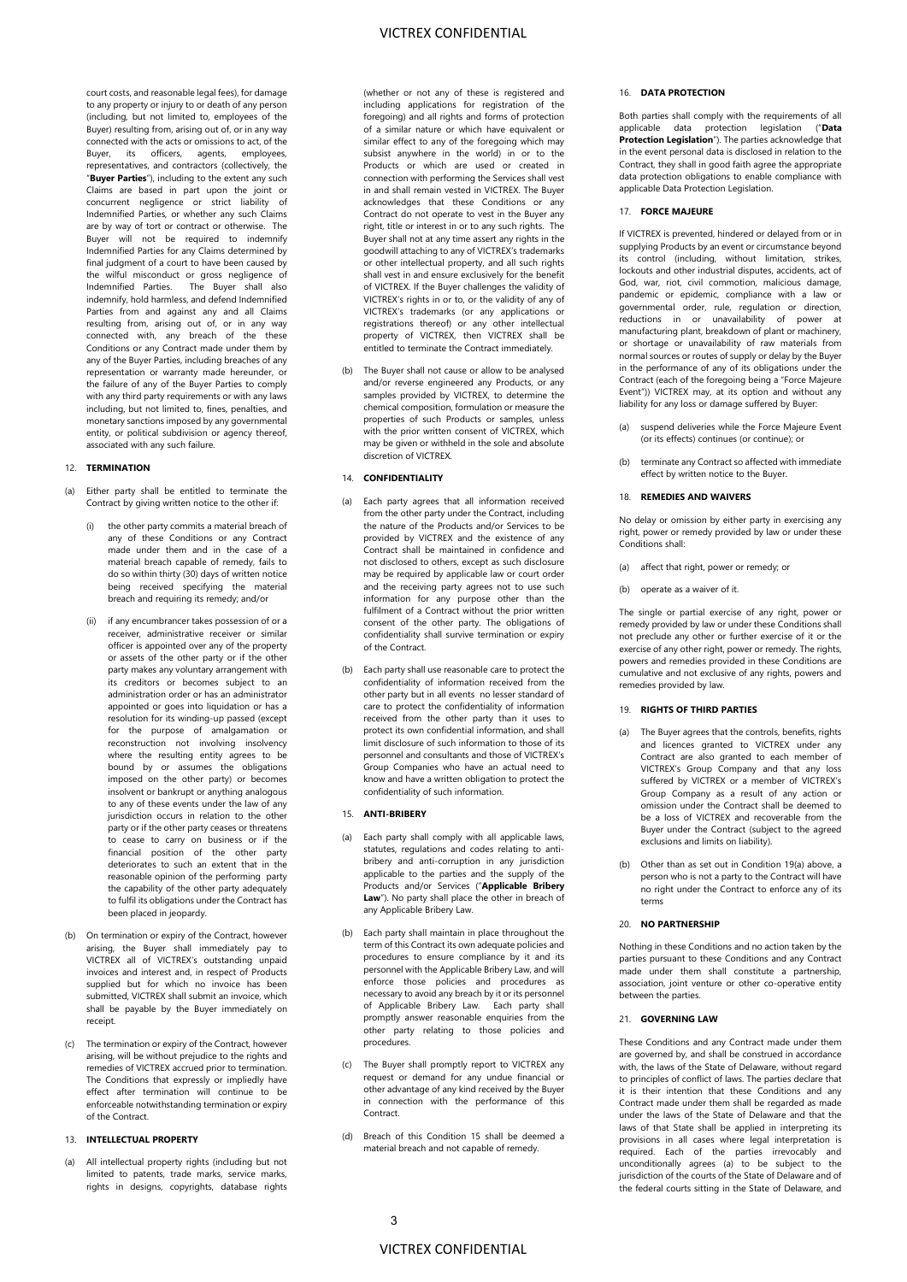court costs, and reasonable legal fees), for damage to any property or injury to or death of any person (including, but not limited to, employees of the Buyer) resulting from, arising out of, or in any way connected with the acts or omissions to act, of the<br>Buyer, its officers, agents, employees, Buyer, its officers, agents, representatives, and contractors (collectively, the "**Buyer Parties**"), including to the extent any such Claims are based in part upon the joint or concurrent negligence or strict liability of Indemnified Parties, or whether any such Claims are by way of tort or contract or otherwise. The Buyer will not be required to indemnify Indemnified Parties for any Claims determined by final judgment of a court to have been caused by the wilful misconduct or gross negligence of Indemnified Parties. The Buyer shall also indemnify, hold harmless, and defend Indemnified Parties from and against any and all Claims resulting from, arising out of, or in any way connected with, any breach of the these Conditions or any Contract made under them by any of the Buyer Parties, including breaches of any representation or warranty made hereunder, or the failure of any of the Buyer Parties to comply with any third party requirements or with any laws including, but not limited to, fines, penalties, and monetary sanctions imposed by any governmental entity, or political subdivision or agency thereof, associated with any such failure.

### 12. **TERMINATION**

- <span id="page-2-0"></span>Either party shall be entitled to terminate the Contract by giving written notice to the other if:
	- the other party commits a material breach of any of these Conditions or any Contract made under them and in the case of a material breach capable of remedy, fails to do so within thirty (30) days of written notice being received specifying the material breach and requiring its remedy; and/or
	- (ii) if any encumbrancer takes possession of or a receiver, administrative receiver or similar officer is appointed over any of the property or assets of the other party or if the other party makes any voluntary arrangement with its creditors or becomes subject to an administration order or has an administrator appointed or goes into liquidation or has a resolution for its winding-up passed (except for the purpose of amalgamation or reconstruction not involving insolvency where the resulting entity agrees to be bound by or assumes the obligations imposed on the other party) or becomes insolvent or bankrupt or anything analogous to any of these events under the law of any jurisdiction occurs in relation to the other party or if the other party ceases or threatens to cease to carry on business or if the financial position of the other party deteriorates to such an extent that in the reasonable opinion of the performing party the capability of the other party adequately to fulfil its obligations under the Contract has been placed in jeopardy.
- (b) On termination or expiry of the Contract, however arising, the Buyer shall immediately pay to VICTREX all of VICTREX's outstanding unpaid invoices and interest and, in respect of Products supplied but for which no invoice has been submitted, VICTREX shall submit an invoice, which shall be payable by the Buyer immediately on receipt.
- (c) The termination or expiry of the Contract, however arising, will be without prejudice to the rights and remedies of VICTREX accrued prior to termination. The Conditions that expressly or impliedly have effect after termination will continue to be enforceable notwithstanding termination or expiry of the Contract.

# 13. **INTELLECTUAL PROPERTY**

(a) All intellectual property rights (including but not limited to patents, trade marks, service marks, rights in designs, copyrights, database rights (whether or not any of these is registered and including applications for registration of the foregoing) and all rights and forms of protection of a similar nature or which have equivalent or similar effect to any of the foregoing which may subsist anywhere in the world) in or to the Products or which are used or created in connection with performing the Services shall vest in and shall remain vested in VICTREX. The Buyer acknowledges that these Conditions or any Contract do not operate to vest in the Buyer any right, title or interest in or to any such rights. The Buyer shall not at any time assert any rights in the goodwill attaching to any of VICTREX's trademarks or other intellectual property, and all such rights shall vest in and ensure exclusively for the benefit of VICTREX. If the Buyer challenges the validity of VICTREX's rights in or to, or the validity of any of VICTREX's trademarks (or any applications or registrations thereof) or any other intellectual property of VICTREX, then VICTREX shall be entitled to terminate the Contract immediately.

The Buyer shall not cause or allow to be analysed and/or reverse engineered any Products, or any samples provided by VICTREX, to determine the chemical composition, formulation or measure the properties of such Products or samples, unless with the prior written consent of VICTREX, which may be given or withheld in the sole and absolute discretion of VICTREX.

### 14. **CONFIDENTIALITY**

- (a) Each party agrees that all information received from the other party under the Contract, including the nature of the Products and/or Services to be provided by VICTREX and the existence of any Contract shall be maintained in confidence and not disclosed to others, except as such disclosure may be required by applicable law or court order and the receiving party agrees not to use such information for any purpose other than the fulfilment of a Contract without the prior written consent of the other party. The obligations of confidentiality shall survive termination or expiry of the Contract.
- (b) Each party shall use reasonable care to protect the confidentiality of information received from the other party but in all events no lesser standard of care to protect the confidentiality of information received from the other party than it uses to protect its own confidential information, and shall limit disclosure of such information to those of its personnel and consultants and those of VICTREX's Group Companies who have an actual need to know and have a written obligation to protect the confidentiality of such information.

### 15. **ANTI-BRIBERY**

- (a) Each party shall comply with all applicable laws, statutes, regulations and codes relating to antibribery and anti-corruption in any jurisdiction applicable to the parties and the supply of the Products and/or Services ("**Applicable Bribery**  Law"). No party shall place the other in breach of any Applicable Bribery Law.
- (b) Each party shall maintain in place throughout the term of this Contract its own adequate policies and procedures to ensure compliance by it and its personnel with the Applicable Bribery Law, and will enforce those policies and procedures as necessary to avoid any breach by it or its personnel of Applicable Bribery Law. Each party shall promptly answer reasonable enquiries from the other party relating to those policies and procedures.
- (c) The Buyer shall promptly report to VICTREX any request or demand for any undue financial or other advantage of any kind received by the Buyer in connection with the performance of this Contract.
- (d) Breach of this Condition 15 shall be deemed a material breach and not capable of remedy.

### 16. **DATA PROTECTION**

Both parties shall comply with the requirements of all applicable data protection legislation ("**Data Protection Legislation**"). The parties acknowledge that in the event personal data is disclosed in relation to the Contract, they shall in good faith agree the appropriate data protection obligations to enable compliance with applicable Data Protection Legislation.

### 17. **FORCE MAJEURE**

If VICTREX is prevented, hindered or delayed from or in supplying Products by an event or circumstance beyond its control (including, without limitation, strikes, lockouts and other industrial disputes, accidents, act of God, war, riot, civil commotion, malicious damage, pandemic or epidemic, compliance with a law or governmental order, rule, regulation or direction, reductions in or unavailability of power at manufacturing plant, breakdown of plant or machinery, or shortage or unavailability of raw materials from normal sources or routes of supply or delay by the Buyer in the performance of any of its obligations under the Contract (each of the foregoing being a "Force Majeure Event")) VICTREX may, at its option and without any liability for any loss or damage suffered by Buyer:

- (a) suspend deliveries while the Force Majeure Event (or its effects) continues (or continue); or
- (b) terminate any Contract so affected with immediate effect by written notice to the Buyer.
- 18. **REMEDIES AND WAIVERS**

No delay or omission by either party in exercising any right, power or remedy provided by law or under these Conditions shall:

- (a) affect that right, power or remedy; or
- (b) operate as a waiver of it.

The single or partial exercise of any right, power or remedy provided by law or under these Conditions shall not preclude any other or further exercise of it or the exercise of any other right, power or remedy. The rights, powers and remedies provided in these Conditions are cumulative and not exclusive of any rights, powers and remedies provided by law.

### 19. **RIGHTS OF THIRD PARTIES**

- <span id="page-2-1"></span>(a) The Buyer agrees that the controls, benefits, rights and licences granted to VICTREX under any Contract are also granted to each member of VICTREX's Group Company and that any loss suffered by VICTREX or a member of VICTREX's Group Company as a result of any action or omission under the Contract shall be deemed to be a loss of VICTREX and recoverable from the Buyer under the Contract (subject to the agreed exclusions and limits on liability).
- (b) Other than as set out in Conditio[n 19\(a\)](#page-2-1) above, a person who is not a party to the Contract will have no right under the Contract to enforce any of its terms

# 20. **NO PARTNERSHIP**

Nothing in these Conditions and no action taken by the parties pursuant to these Conditions and any Contract made under them shall constitute a partnership, association, joint venture or other co-operative entity between the parties.

### 21. **GOVERNING LAW**

These Conditions and any Contract made under them are governed by, and shall be construed in accordance with, the laws of the State of Delaware, without regard to principles of conflict of laws. The parties declare that it is their intention that these Conditions and any Contract made under them shall be regarded as made under the laws of the State of Delaware and that the laws of that State shall be applied in interpreting its provisions in all cases where legal interpretation is required. Each of the parties irrevocably and unconditionally agrees (a) to be subject to the jurisdiction of the courts of the State of Delaware and of the federal courts sitting in the State of Delaware, and